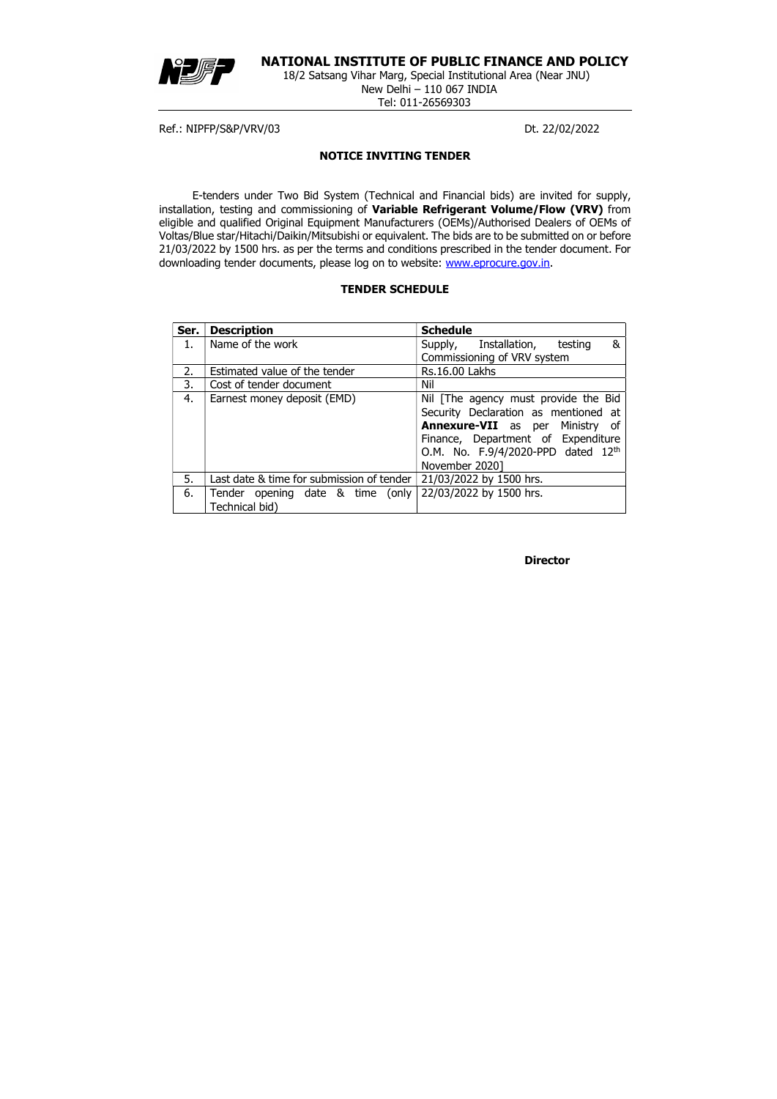

# NATIONAL INSTITUTE OF PUBLIC FINANCE AND POLICY

18/2 Satsang Vihar Marg, Special Institutional Area (Near JNU) New Delhi – 110 067 INDIA Tel: 011-26569303

Ref.: NIPFP/S&P/VRV/03 Dt. 22/02/2022

E-tenders under Two Bid System (Technical and Financial bids) are invited for supply, installation, testing and commissioning of Variable Refrigerant Volume/Flow (VRV) from eligible and qualified Original Equipment Manufacturers (OEMs)/Authorised Dealers of OEMs of Voltas/Blue star/Hitachi/Daikin/Mitsubishi or equivalent. The bids are to be submitted on or before 21/03/2022 by 1500 hrs. as per the terms and conditions prescribed in the tender document. For downloading tender documents, please log on to website: www.eprocure.gov.in.

## NOTICE INVITING TENDER

## TENDER SCHEDULE

**Director** 

| Ser. | <b>Description</b>                        | <b>Schedule</b>                           |  |  |  |
|------|-------------------------------------------|-------------------------------------------|--|--|--|
| 1.   | Name of the work                          | &<br>Supply, Installation, testing        |  |  |  |
|      |                                           | Commissioning of VRV system               |  |  |  |
| 2.   | Estimated value of the tender             | <b>Rs.16.00 Lakhs</b>                     |  |  |  |
| 3.   | Cost of tender document                   | Nil                                       |  |  |  |
| 4.   | Earnest money deposit (EMD)               | Nil The agency must provide the Bid       |  |  |  |
|      |                                           | Security Declaration as mentioned at      |  |  |  |
|      |                                           | <b>Annexure-VII</b> as per<br>Ministry of |  |  |  |
|      |                                           | Finance, Department of Expenditure        |  |  |  |
|      |                                           | O.M. No. F.9/4/2020-PPD dated 12th        |  |  |  |
|      |                                           | November 2020]                            |  |  |  |
| 5.   | Last date & time for submission of tender | 21/03/2022 by 1500 hrs.                   |  |  |  |
| 6.   | Tender opening date & time (only          | 22/03/2022 by 1500 hrs.                   |  |  |  |
|      | Technical bid)                            |                                           |  |  |  |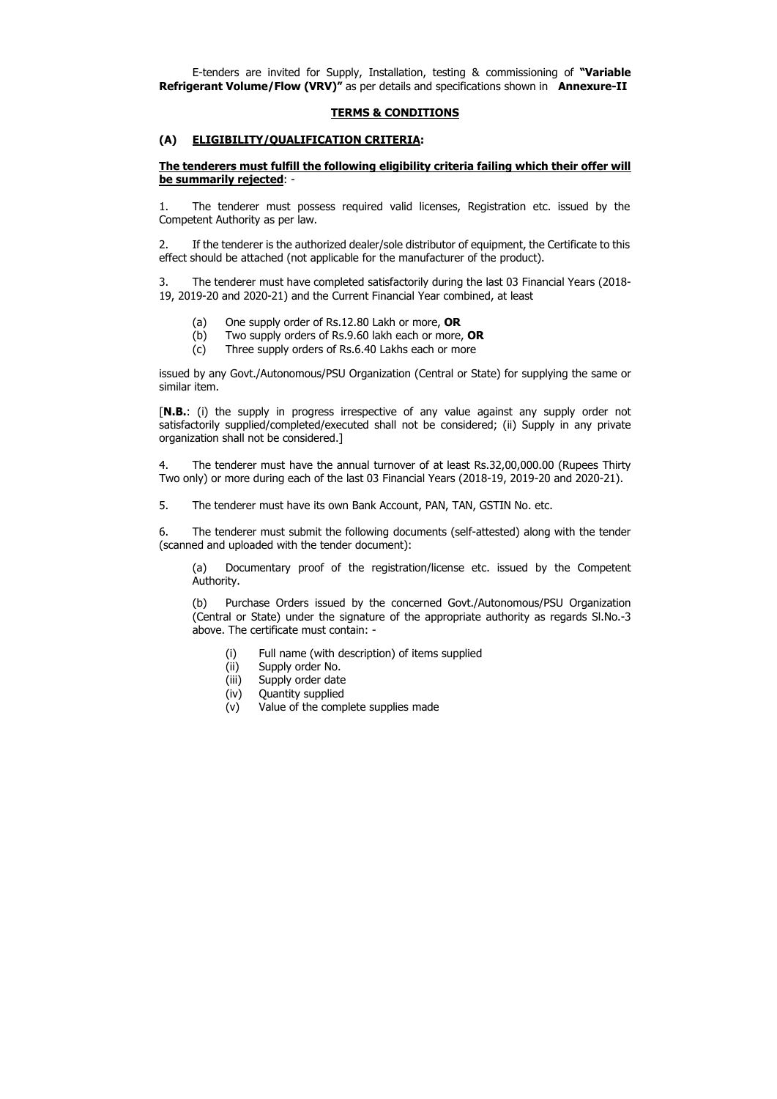E-tenders are invited for Supply, Installation, testing & commissioning of "Variable Refrigerant Volume/Flow (VRV)" as per details and specifications shown in Annexure-II

## TERMS & CONDITIONS

## (A) ELIGIBILITY/QUALIFICATION CRITERIA:

# The tenderers must fulfill the following eligibility criteria failing which their offer will be summarily rejected: -

1. The tenderer must possess required valid licenses, Registration etc. issued by the Competent Authority as per law.

- (a) One supply order of Rs.12.80 Lakh or more,  $OR$
- (b) Two supply orders of Rs.9.60 lakh each or more,  $OR$
- (c) Three supply orders of Rs.6.40 Lakhs each or more

2. If the tenderer is the authorized dealer/sole distributor of equipment, the Certificate to this effect should be attached (not applicable for the manufacturer of the product).

3. The tenderer must have completed satisfactorily during the last 03 Financial Years (2018- 19, 2019-20 and 2020-21) and the Current Financial Year combined, at least

issued by any Govt./Autonomous/PSU Organization (Central or State) for supplying the same or similar item.

[N.B.: (i) the supply in progress irrespective of any value against any supply order not satisfactorily supplied/completed/executed shall not be considered; (ii) Supply in any private organization shall not be considered.]

4. The tenderer must have the annual turnover of at least Rs.32,00,000.00 (Rupees Thirty Two only) or more during each of the last 03 Financial Years (2018-19, 2019-20 and 2020-21).

5. The tenderer must have its own Bank Account, PAN, TAN, GSTIN No. etc.

6. The tenderer must submit the following documents (self-attested) along with the tender (scanned and uploaded with the tender document):

(a) Documentary proof of the registration/license etc. issued by the Competent Authority.

(b) Purchase Orders issued by the concerned Govt./Autonomous/PSU Organization (Central or State) under the signature of the appropriate authority as regards Sl.No.-3 above. The certificate must contain: -

- (i) Full name (with description) of items supplied
- (ii) Supply order No.
- (iii) Supply order date
- (iv) Quantity supplied
- (v) Value of the complete supplies made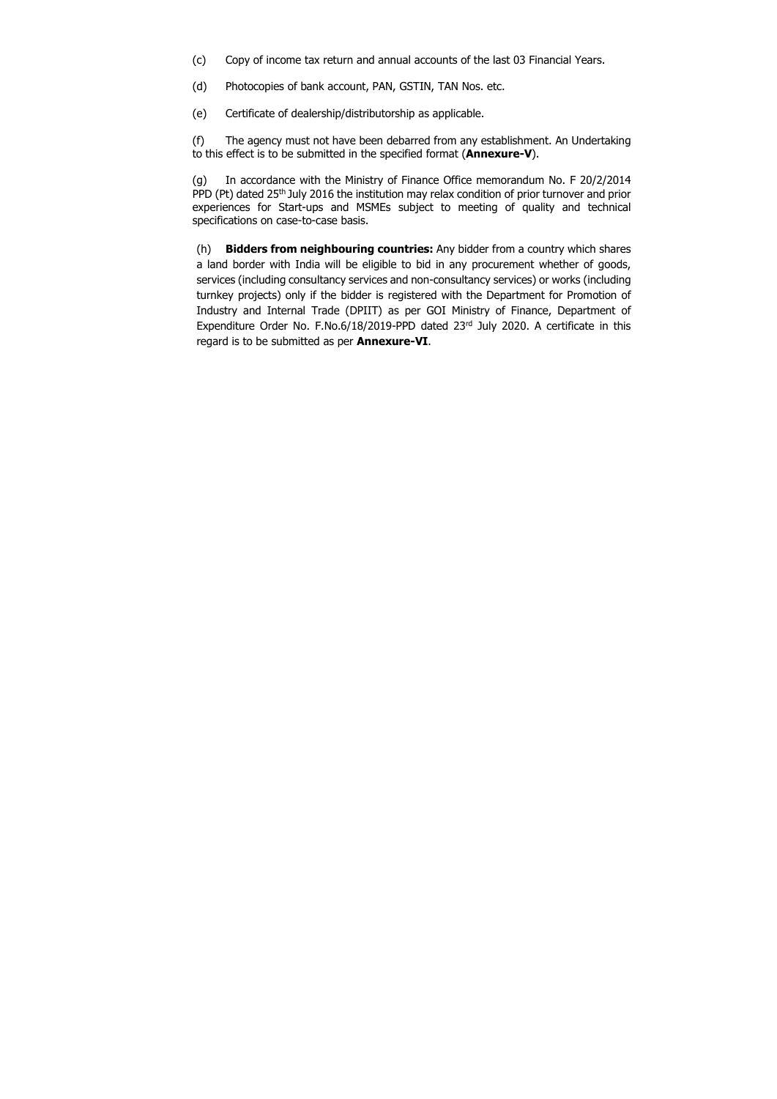- (c) Copy of income tax return and annual accounts of the last 03 Financial Years.
- (d) Photocopies of bank account, PAN, GSTIN, TAN Nos. etc.
- (e) Certificate of dealership/distributorship as applicable.

(f) The agency must not have been debarred from any establishment. An Undertaking to this effect is to be submitted in the specified format (Annexure-V).

(h) Bidders from neighbouring countries: Any bidder from a country which shares a land border with India will be eligible to bid in any procurement whether of goods, services (including consultancy services and non-consultancy services) or works (including turnkey projects) only if the bidder is registered with the Department for Promotion of Industry and Internal Trade (DPIIT) as per GOI Ministry of Finance, Department of Expenditure Order No. F.No.6/18/2019-PPD dated 23rd July 2020. A certificate in this regard is to be submitted as per **Annexure-VI**.

(g) In accordance with the Ministry of Finance Office memorandum No. F 20/2/2014 PPD (Pt) dated 25<sup>th</sup> July 2016 the institution may relax condition of prior turnover and prior experiences for Start-ups and MSMEs subject to meeting of quality and technical specifications on case-to-case basis.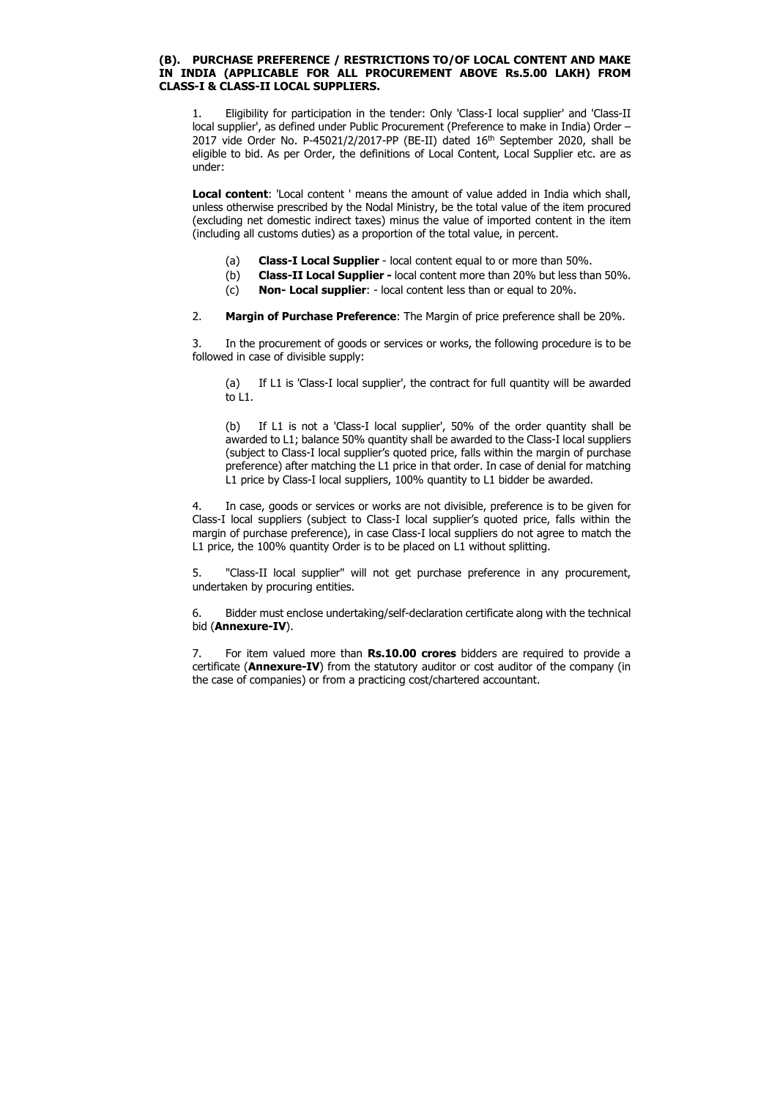## (B). PURCHASE PREFERENCE / RESTRICTIONS TO/OF LOCAL CONTENT AND MAKE IN INDIA (APPLICABLE FOR ALL PROCUREMENT ABOVE Rs.5.00 LAKH) FROM CLASS-I & CLASS-II LOCAL SUPPLIERS.

1. Eligibility for participation in the tender: Only 'Class-I local supplier' and 'Class-II local supplier', as defined under Public Procurement (Preference to make in India) Order – 2017 vide Order No. P-45021/2/2017-PP (BE-II) dated 16<sup>th</sup> September 2020, shall be eligible to bid. As per Order, the definitions of Local Content, Local Supplier etc. are as under:

Local content: 'Local content' means the amount of value added in India which shall, unless otherwise prescribed by the Nodal Ministry, be the total value of the item procured (excluding net domestic indirect taxes) minus the value of imported content in the item (including all customs duties) as a proportion of the total value, in percent.

- (a) Class-I Local Supplier local content equal to or more than 50%.
- (b) Class-II Local Supplier local content more than 20% but less than 50%.
- (c) Non- Local supplier: local content less than or equal to 20%.
- 2. Margin of Purchase Preference: The Margin of price preference shall be 20%.

3. In the procurement of goods or services or works, the following procedure is to be followed in case of divisible supply:

7. For item valued more than **Rs.10.00 crores** bidders are required to provide a certificate (Annexure-IV) from the statutory auditor or cost auditor of the company (in the case of companies) or from a practicing cost/chartered accountant.

(a) If L1 is 'Class-I local supplier', the contract for full quantity will be awarded to L1.

(b) If L1 is not a 'Class-I local supplier', 50% of the order quantity shall be awarded to L1; balance 50% quantity shall be awarded to the Class-I local suppliers (subject to Class-I local supplier's quoted price, falls within the margin of purchase preference) after matching the L1 price in that order. In case of denial for matching L1 price by Class-I local suppliers, 100% quantity to L1 bidder be awarded.

4. In case, goods or services or works are not divisible, preference is to be given for Class-I local suppliers (subject to Class-I local supplier's quoted price, falls within the margin of purchase preference), in case Class-I local suppliers do not agree to match the L1 price, the 100% quantity Order is to be placed on L1 without splitting.

5. "Class-II local supplier" will not get purchase preference in any procurement, undertaken by procuring entities.

6. Bidder must enclose undertaking/self-declaration certificate along with the technical bid (Annexure-IV).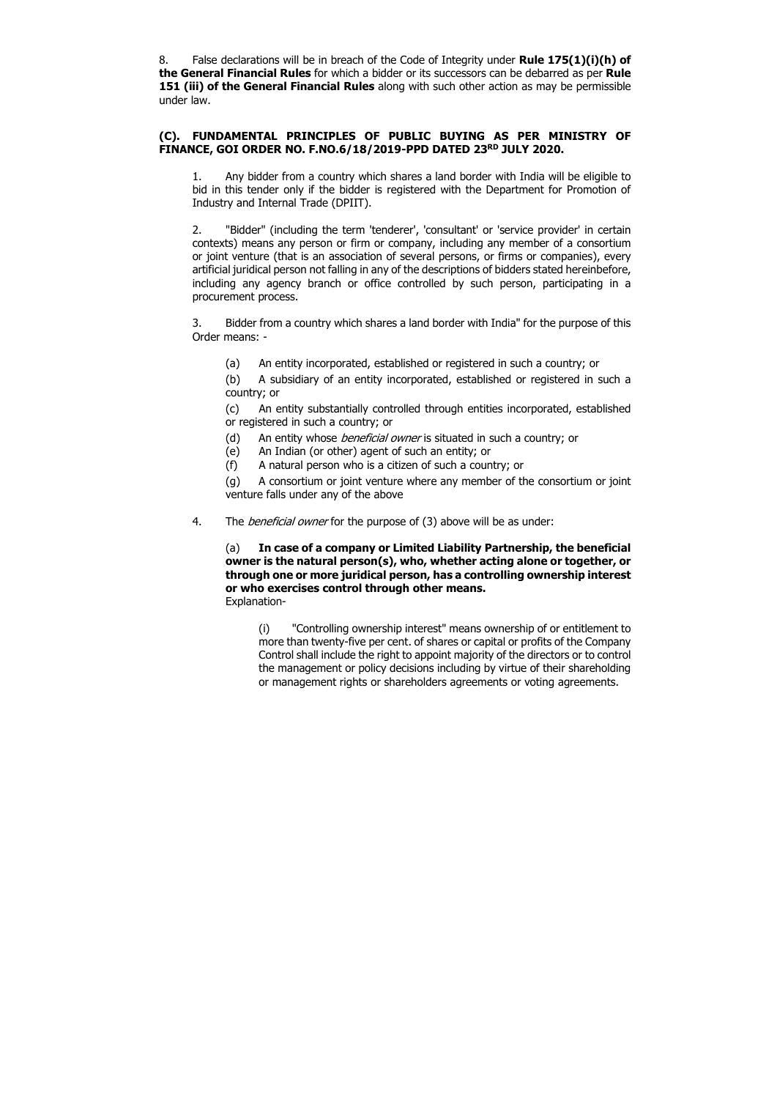8. False declarations will be in breach of the Code of Integrity under **Rule 175(1)(ii)(h) of** the General Financial Rules for which a bidder or its successors can be debarred as per Rule 151 (iii) of the General Financial Rules along with such other action as may be permissible under law.

## (C). FUNDAMENTAL PRINCIPLES OF PUBLIC BUYING AS PER MINISTRY OF FINANCE, GOI ORDER NO. F.NO.6/18/2019-PPD DATED 23RD JULY 2020.

1. Any bidder from a country which shares a land border with India will be eligible to bid in this tender only if the bidder is registered with the Department for Promotion of Industry and Internal Trade (DPIIT).

- (d) An entity whose *beneficial owner* is situated in such a country; or
- (e) An Indian (or other) agent of such an entity; or
- (f) A natural person who is a citizen of such a country; or

2. "Bidder" (including the term 'tenderer', 'consultant' or 'service provider' in certain contexts) means any person or firm or company, including any member of a consortium or joint venture (that is an association of several persons, or firms or companies), every artificial juridical person not falling in any of the descriptions of bidders stated hereinbefore, including any agency branch or office controlled by such person, participating in a procurement process.

3. Bidder from a country which shares a land border with India" for the purpose of this Order means: -

(a) An entity incorporated, established or registered in such a country; or

(b) A subsidiary of an entity incorporated, established or registered in such a country; or

(c) An entity substantially controlled through entities incorporated, established or registered in such a country; or

(g) A consortium or joint venture where any member of the consortium or joint venture falls under any of the above

4. The *beneficial owner* for the purpose of (3) above will be as under:

(a) In case of a company or Limited Liability Partnership, the beneficial owner is the natural person(s), who, whether acting alone or together, or through one or more juridical person, has a controlling ownership interest or who exercises control through other means. Explanation-

(i) "Controlling ownership interest" means ownership of or entitlement to more than twenty-five per cent. of shares or capital or profits of the Company Control shall include the right to appoint majority of the directors or to control the management or policy decisions including by virtue of their shareholding or management rights or shareholders agreements or voting agreements.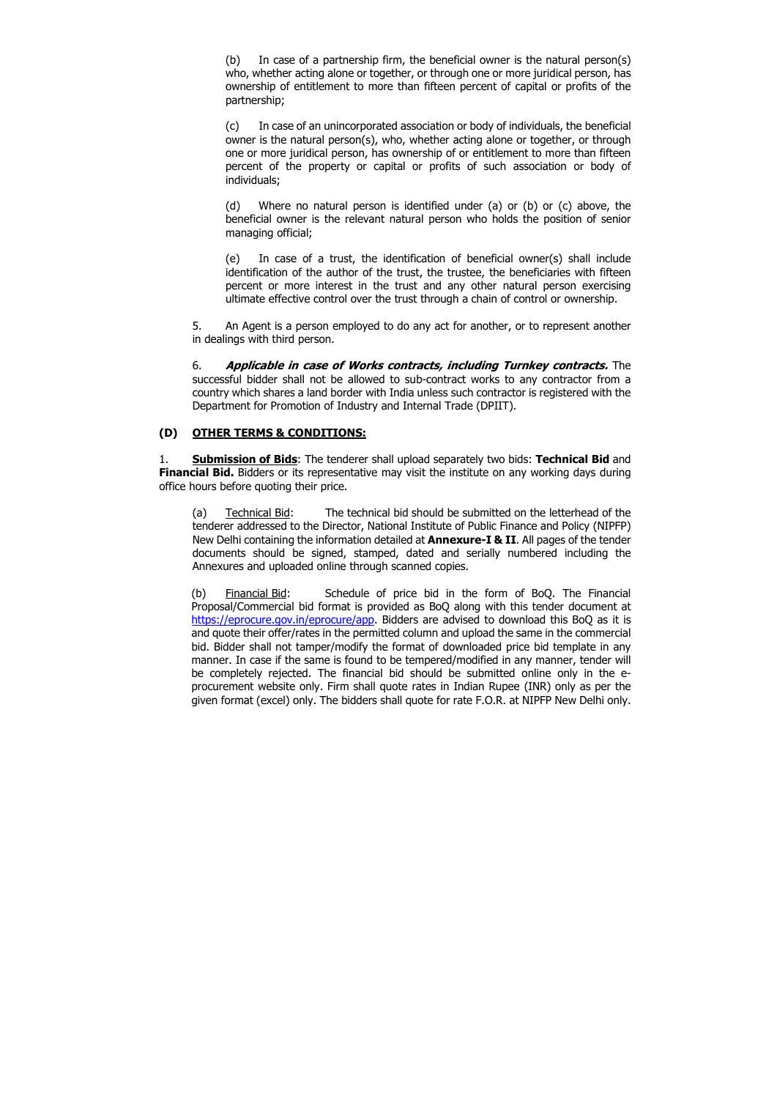(b) In case of a partnership firm, the beneficial owner is the natural person(s) who, whether acting alone or together, or through one or more juridical person, has ownership of entitlement to more than fifteen percent of capital or profits of the partnership;

(c) In case of an unincorporated association or body of individuals, the beneficial owner is the natural person(s), who, whether acting alone or together, or through one or more juridical person, has ownership of or entitlement to more than fifteen percent of the property or capital or profits of such association or body of individuals;

(d) Where no natural person is identified under (a) or (b) or (c) above, the beneficial owner is the relevant natural person who holds the position of senior managing official;

6. Applicable in case of Works contracts, including Turnkey contracts. The successful bidder shall not be allowed to sub-contract works to any contractor from a country which shares a land border with India unless such contractor is registered with the Department for Promotion of Industry and Internal Trade (DPIIT).

1. Submission of Bids: The tenderer shall upload separately two bids: Technical Bid and **Financial Bid.** Bidders or its representative may visit the institute on any working days during office hours before quoting their price.

(e) In case of a trust, the identification of beneficial owner(s) shall include identification of the author of the trust, the trustee, the beneficiaries with fifteen percent or more interest in the trust and any other natural person exercising ultimate effective control over the trust through a chain of control or ownership.

5. An Agent is a person employed to do any act for another, or to represent another in dealings with third person.

# (D) OTHER TERMS & CONDITIONS:

(a) Technical Bid: The technical bid should be submitted on the letterhead of the tenderer addressed to the Director, National Institute of Public Finance and Policy (NIPFP) New Delhi containing the information detailed at **Annexure-I & II**. All pages of the tender documents should be signed, stamped, dated and serially numbered including the Annexures and uploaded online through scanned copies.

(b) Financial Bid: Schedule of price bid in the form of BoQ. The Financial Proposal/Commercial bid format is provided as BoQ along with this tender document at https://eprocure.gov.in/eprocure/app. Bidders are advised to download this BoQ as it is and quote their offer/rates in the permitted column and upload the same in the commercial bid. Bidder shall not tamper/modify the format of downloaded price bid template in any manner. In case if the same is found to be tempered/modified in any manner, tender will be completely rejected. The financial bid should be submitted online only in the eprocurement website only. Firm shall quote rates in Indian Rupee (INR) only as per the given format (excel) only. The bidders shall quote for rate F.O.R. at NIPFP New Delhi only.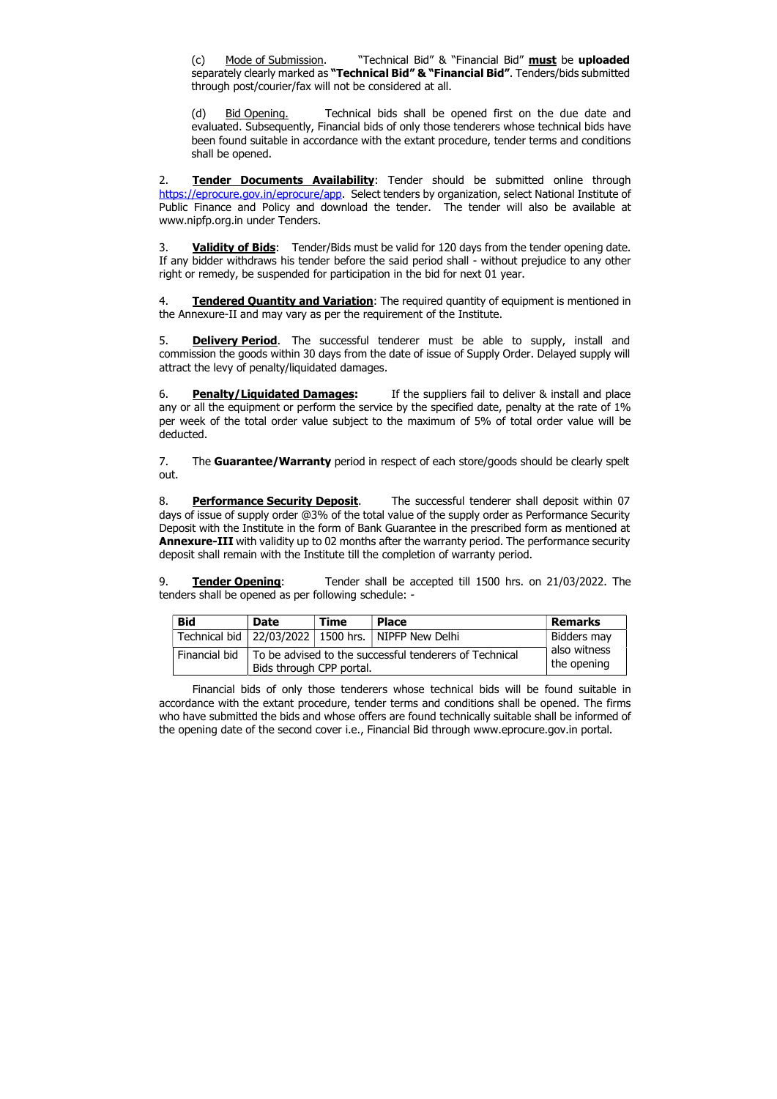(c) Mode of Submission. "Technical Bid" & "Financial Bid" must be uploaded separately clearly marked as "Technical Bid" & "Financial Bid". Tenders/bids submitted through post/courier/fax will not be considered at all.

(d) Bid Opening. Technical bids shall be opened first on the due date and evaluated. Subsequently, Financial bids of only those tenderers whose technical bids have been found suitable in accordance with the extant procedure, tender terms and conditions shall be opened.

2. **Tender Documents Availability**: Tender should be submitted online through https://eprocure.gov.in/eprocure/app. Select tenders by organization, select National Institute of Public Finance and Policy and download the tender. The tender will also be available at www.nipfp.org.in under Tenders.

3. Validity of Bids: Tender/Bids must be valid for 120 days from the tender opening date. If any bidder withdraws his tender before the said period shall - without prejudice to any other right or remedy, be suspended for participation in the bid for next 01 year.

4. Tendered Quantity and Variation: The required quantity of equipment is mentioned in the Annexure-II and may vary as per the requirement of the Institute.

5. **Delivery Period**. The successful tenderer must be able to supply, install and commission the goods within 30 days from the date of issue of Supply Order. Delayed supply will attract the levy of penalty/liquidated damages.

6. **Penalty/Liquidated Damages:** If the suppliers fail to deliver & install and place any or all the equipment or perform the service by the specified date, penalty at the rate of 1% per week of the total order value subject to the maximum of 5% of total order value will be deducted.

7. The **Guarantee/Warranty** period in respect of each store/goods should be clearly spelt out.

8. **Performance Security Deposit.** The successful tenderer shall deposit within 07 days of issue of supply order @3% of the total value of the supply order as Performance Security Deposit with the Institute in the form of Bank Guarantee in the prescribed form as mentioned at Annexure-III with validity up to 02 months after the warranty period. The performance security deposit shall remain with the Institute till the completion of warranty period.

9. **Tender Opening:** Tender shall be accepted till 1500 hrs. on 21/03/2022. The tenders shall be opened as per following schedule: -

| <b>Bid</b>    | <b>Date</b> | <b>Time</b>                                                                                                       | <b>Place</b>                                             | <b>Remarks</b> |  |
|---------------|-------------|-------------------------------------------------------------------------------------------------------------------|----------------------------------------------------------|----------------|--|
|               |             |                                                                                                                   | Technical bid   22/03/2022   1500 hrs.   NIPFP New Delhi | Bidders may    |  |
| Financial bid |             | also witness<br>To be advised to the successful tenderers of Technical<br>the opening<br>Bids through CPP portal. |                                                          |                |  |

Financial bids of only those tenderers whose technical bids will be found suitable in accordance with the extant procedure, tender terms and conditions shall be opened. The firms who have submitted the bids and whose offers are found technically suitable shall be informed of the opening date of the second cover i.e., Financial Bid through www.eprocure.gov.in portal.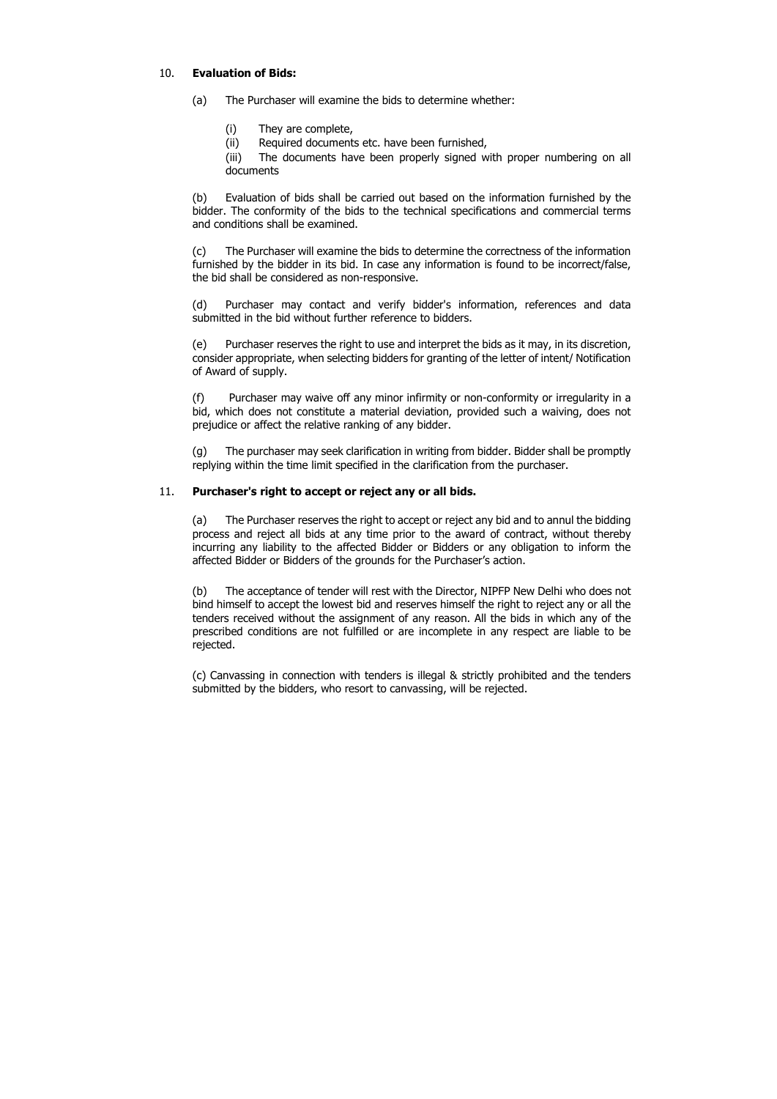# 10. Evaluation of Bids:

- (a) The Purchaser will examine the bids to determine whether:
	- (i) They are complete,
	- (ii) Required documents etc. have been furnished,

(iii) The documents have been properly signed with proper numbering on all documents

(b) Evaluation of bids shall be carried out based on the information furnished by the bidder. The conformity of the bids to the technical specifications and commercial terms and conditions shall be examined.

(c) The Purchaser will examine the bids to determine the correctness of the information furnished by the bidder in its bid. In case any information is found to be incorrect/false, the bid shall be considered as non-responsive.

(d) Purchaser may contact and verify bidder's information, references and data submitted in the bid without further reference to bidders.

(e) Purchaser reserves the right to use and interpret the bids as it may, in its discretion, consider appropriate, when selecting bidders for granting of the letter of intent/ Notification of Award of supply.

(f) Purchaser may waive off any minor infirmity or non-conformity or irregularity in a bid, which does not constitute a material deviation, provided such a waiving, does not prejudice or affect the relative ranking of any bidder.

(g) The purchaser may seek clarification in writing from bidder. Bidder shall be promptly replying within the time limit specified in the clarification from the purchaser.

# 11. Purchaser's right to accept or reject any or all bids.

(a) The Purchaser reserves the right to accept or reject any bid and to annul the bidding process and reject all bids at any time prior to the award of contract, without thereby incurring any liability to the affected Bidder or Bidders or any obligation to inform the affected Bidder or Bidders of the grounds for the Purchaser's action.

(b) The acceptance of tender will rest with the Director, NIPFP New Delhi who does not bind himself to accept the lowest bid and reserves himself the right to reject any or all the tenders received without the assignment of any reason. All the bids in which any of the prescribed conditions are not fulfilled or are incomplete in any respect are liable to be rejected.

(c) Canvassing in connection with tenders is illegal & strictly prohibited and the tenders submitted by the bidders, who resort to canvassing, will be rejected.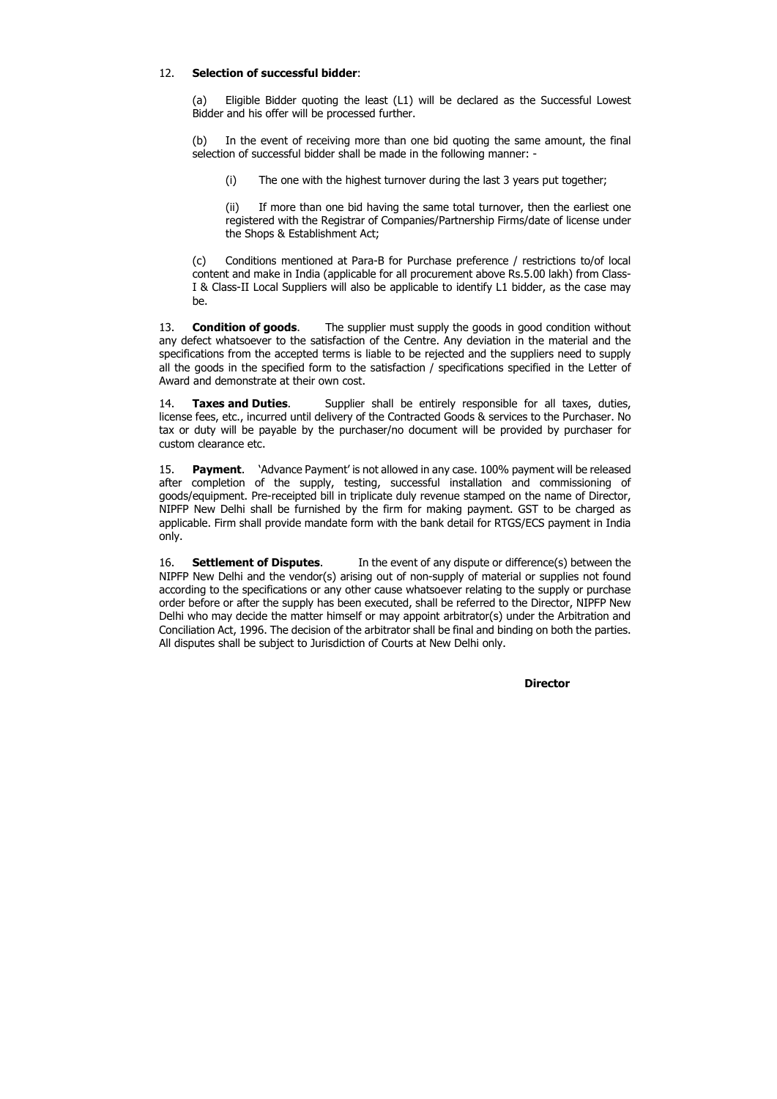# 12. Selection of successful bidder:

(a) Eligible Bidder quoting the least (L1) will be declared as the Successful Lowest Bidder and his offer will be processed further.

(b) In the event of receiving more than one bid quoting the same amount, the final selection of successful bidder shall be made in the following manner: -

(i) The one with the highest turnover during the last 3 years put together;

(ii) If more than one bid having the same total turnover, then the earliest one registered with the Registrar of Companies/Partnership Firms/date of license under the Shops & Establishment Act;

13. **Condition of goods.** The supplier must supply the goods in good condition without any defect whatsoever to the satisfaction of the Centre. Any deviation in the material and the specifications from the accepted terms is liable to be rejected and the suppliers need to supply all the goods in the specified form to the satisfaction / specifications specified in the Letter of Award and demonstrate at their own cost.

(c) Conditions mentioned at Para-B for Purchase preference / restrictions to/of local content and make in India (applicable for all procurement above Rs.5.00 lakh) from Class-I & Class-II Local Suppliers will also be applicable to identify L1 bidder, as the case may be.

14. **Taxes and Duties**. Supplier shall be entirely responsible for all taxes, duties, license fees, etc., incurred until delivery of the Contracted Goods & services to the Purchaser. No tax or duty will be payable by the purchaser/no document will be provided by purchaser for custom clearance etc.

15. **Payment.** 'Advance Payment' is not allowed in any case. 100% payment will be released after completion of the supply, testing, successful installation and commissioning of goods/equipment. Pre-receipted bill in triplicate duly revenue stamped on the name of Director, NIPFP New Delhi shall be furnished by the firm for making payment. GST to be charged as applicable. Firm shall provide mandate form with the bank detail for RTGS/ECS payment in India only.

16. **Settlement of Disputes.** In the event of any dispute or difference(s) between the NIPFP New Delhi and the vendor(s) arising out of non-supply of material or supplies not found according to the specifications or any other cause whatsoever relating to the supply or purchase order before or after the supply has been executed, shall be referred to the Director, NIPFP New Delhi who may decide the matter himself or may appoint arbitrator(s) under the Arbitration and Conciliation Act, 1996. The decision of the arbitrator shall be final and binding on both the parties. All disputes shall be subject to Jurisdiction of Courts at New Delhi only.

**Director**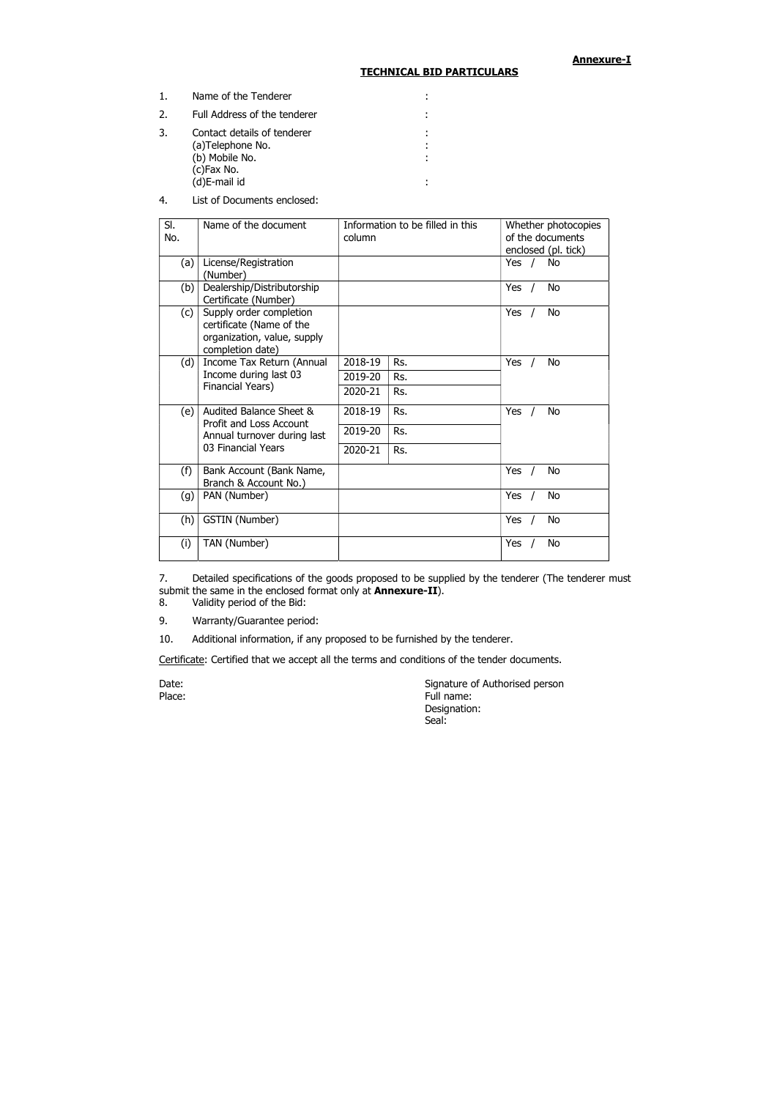Annexure-I

#### TECHNICAL BID PARTICULARS

| 1. | Name of the Tenderer                                                                            |   |
|----|-------------------------------------------------------------------------------------------------|---|
| 2. | Full Address of the tenderer                                                                    |   |
| 3. | Contact details of tenderer<br>(a)Telephone No.<br>(b) Mobile No.<br>(c)Fax No.<br>(d)E-mail id | ٠ |

4. List of Documents enclosed:

7. Detailed specifications of the goods proposed to be supplied by the tenderer (The tenderer must submit the same in the enclosed format only at **Annexure-II**).

| SI.<br>No. | Name of the document                                                                                           | Information to be filled in this<br>column |     |            | Whether photocopies<br>of the documents<br>enclosed (pl. tick) |  |
|------------|----------------------------------------------------------------------------------------------------------------|--------------------------------------------|-----|------------|----------------------------------------------------------------|--|
| (a)        | License/Registration<br>(Number)                                                                               |                                            |     | Yes $/$    | No                                                             |  |
| (b)        | Dealership/Distributorship<br>Certificate (Number)                                                             |                                            |     | Yes        | <b>No</b>                                                      |  |
| (c)        | Supply order completion<br>certificate (Name of the<br>organization, value, supply<br>completion date)         |                                            |     | <b>Yes</b> | <b>No</b>                                                      |  |
| (d)        | Income Tax Return (Annual<br>Income during last 03<br>Financial Years)                                         | 2018-19                                    | Rs. | <b>Yes</b> | <b>No</b>                                                      |  |
|            |                                                                                                                | 2019-20                                    | Rs. |            |                                                                |  |
|            |                                                                                                                | 2020-21                                    | Rs. |            |                                                                |  |
| (e)        | Audited Balance Sheet &<br><b>Profit and Loss Account</b><br>Annual turnover during last<br>03 Financial Years | 2018-19                                    | Rs. | <b>Yes</b> | No                                                             |  |
|            |                                                                                                                | 2019-20                                    | Rs. |            |                                                                |  |
|            |                                                                                                                | 2020-21                                    | Rs. |            |                                                                |  |
| (f)        | Bank Account (Bank Name,<br>Branch & Account No.)                                                              |                                            |     | Yes        | <b>No</b>                                                      |  |
| (g)        | PAN (Number)                                                                                                   |                                            |     | Yes        | No                                                             |  |
| (h)        | <b>GSTIN</b> (Number)                                                                                          |                                            |     | Yes        | No                                                             |  |
| (i)        | TAN (Number)                                                                                                   |                                            |     | Yes        | <b>No</b>                                                      |  |

8. Validity period of the Bid:

9. Warranty/Guarantee period:

10. Additional information, if any proposed to be furnished by the tenderer.

Certificate: Certified that we accept all the terms and conditions of the tender documents.

Date: **Signature of Authorised person** Place: Full name: Full name: Full name: Full name: Designation: Seal: And the contract of the contract of the Seal: Seal: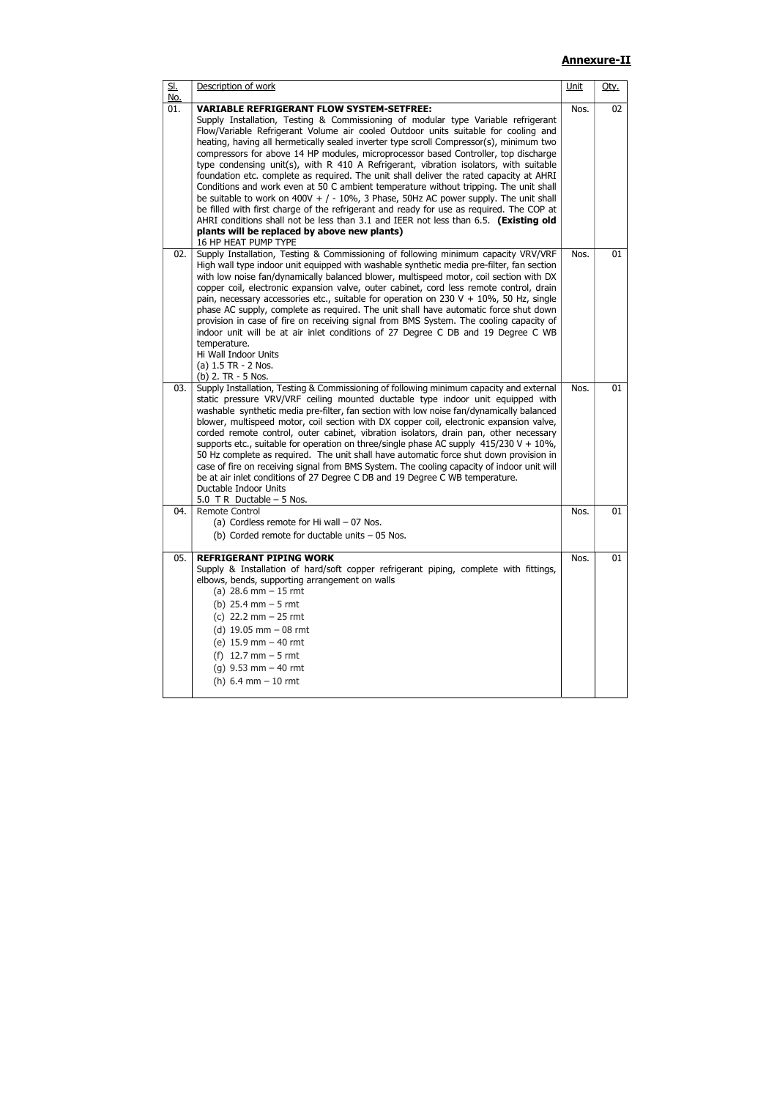# Annexure-II

| <u>Sl.</u><br><u>No.</u> | Description of work                                                                                                                                                                                                                                                                                                                                                                                                                                                                                                                                                                                                                                                                                                                                                                                                                                                                                                                                                                                                                               | <u>Unit</u> | Qty.                 |
|--------------------------|---------------------------------------------------------------------------------------------------------------------------------------------------------------------------------------------------------------------------------------------------------------------------------------------------------------------------------------------------------------------------------------------------------------------------------------------------------------------------------------------------------------------------------------------------------------------------------------------------------------------------------------------------------------------------------------------------------------------------------------------------------------------------------------------------------------------------------------------------------------------------------------------------------------------------------------------------------------------------------------------------------------------------------------------------|-------------|----------------------|
| 01.                      | <b>VARIABLE REFRIGERANT FLOW SYSTEM-SETFREE:</b><br>Supply Installation, Testing & Commissioning of modular type Variable refrigerant<br>Flow/Variable Refrigerant Volume air cooled Outdoor units suitable for cooling and<br>heating, having all hermetically sealed inverter type scroll Compressor(s), minimum two<br>compressors for above 14 HP modules, microprocessor based Controller, top discharge<br>type condensing unit(s), with R 410 A Refrigerant, vibration isolators, with suitable<br>foundation etc. complete as required. The unit shall deliver the rated capacity at AHRI<br>Conditions and work even at 50 C ambient temperature without tripping. The unit shall<br>be suitable to work on $400V + / -10\%$ , 3 Phase, 50Hz AC power supply. The unit shall<br>be filled with first charge of the refrigerant and ready for use as required. The COP at<br>AHRI conditions shall not be less than 3.1 and IEER not less than 6.5. (Existing old<br>plants will be replaced by above new plants)<br>16 HP HEAT PUMP TYPE | Nos.        | 02                   |
| 02.                      | Supply Installation, Testing & Commissioning of following minimum capacity VRV/VRF<br>High wall type indoor unit equipped with washable synthetic media pre-filter, fan section<br>with low noise fan/dynamically balanced blower, multispeed motor, coil section with DX<br>copper coil, electronic expansion valve, outer cabinet, cord less remote control, drain<br>pain, necessary accessories etc., suitable for operation on 230 V + 10%, 50 Hz, single<br>phase AC supply, complete as required. The unit shall have automatic force shut down<br>provision in case of fire on receiving signal from BMS System. The cooling capacity of<br>indoor unit will be at air inlet conditions of 27 Degree C DB and 19 Degree C WB<br>temperature.<br>Hi Wall Indoor Units<br>(a) 1.5 TR - 2 Nos.<br>(b) $2. TR - 5$ Nos.                                                                                                                                                                                                                       | Nos.        |                      |
| 03.                      | Supply Installation, Testing & Commissioning of following minimum capacity and external<br>static pressure VRV/VRF ceiling mounted ductable type indoor unit equipped with<br>washable synthetic media pre-filter, fan section with low noise fan/dynamically balanced<br>blower, multispeed motor, coil section with DX copper coil, electronic expansion valve,<br>corded remote control, outer cabinet, vibration isolators, drain pan, other necessary<br>supports etc., suitable for operation on three/single phase AC supply $415/230$ V + $10\%$ ,<br>50 Hz complete as required. The unit shall have automatic force shut down provision in<br>case of fire on receiving signal from BMS System. The cooling capacity of indoor unit will<br>be at air inlet conditions of 27 Degree C DB and 19 Degree C WB temperature.<br>Ductable Indoor Units<br>5.0 T R Ductable $-5$ Nos.                                                                                                                                                         | Nos.        | 01<br>01<br>01<br>01 |
| 04.                      | Remote Control<br>(a) Cordless remote for Hi wall $-07$ Nos.<br>(b) Corded remote for ductable units $-05$ Nos.                                                                                                                                                                                                                                                                                                                                                                                                                                                                                                                                                                                                                                                                                                                                                                                                                                                                                                                                   | Nos.        |                      |
| 05.                      | <b>REFRIGERANT PIPING WORK</b><br>Supply & Installation of hard/soft copper refrigerant piping, complete with fittings,<br>elbows, bends, supporting arrangement on walls<br>(a) $28.6$ mm $-15$ rmt<br>(b) $25.4$ mm $-5$ rmt<br>(c) $22.2 \text{ mm} - 25 \text{ rmt}$<br>(d) $19.05$ mm $-08$ rmt<br>(e) $15.9$ mm $-$ 40 rmt<br>(f) $12.7 \text{ mm} - 5 \text{ rmt}$<br>(g) $9.53$ mm $-40$ rmt<br>(h) $6.4 \text{ mm} - 10 \text{ rm}$                                                                                                                                                                                                                                                                                                                                                                                                                                                                                                                                                                                                      | Nos.        |                      |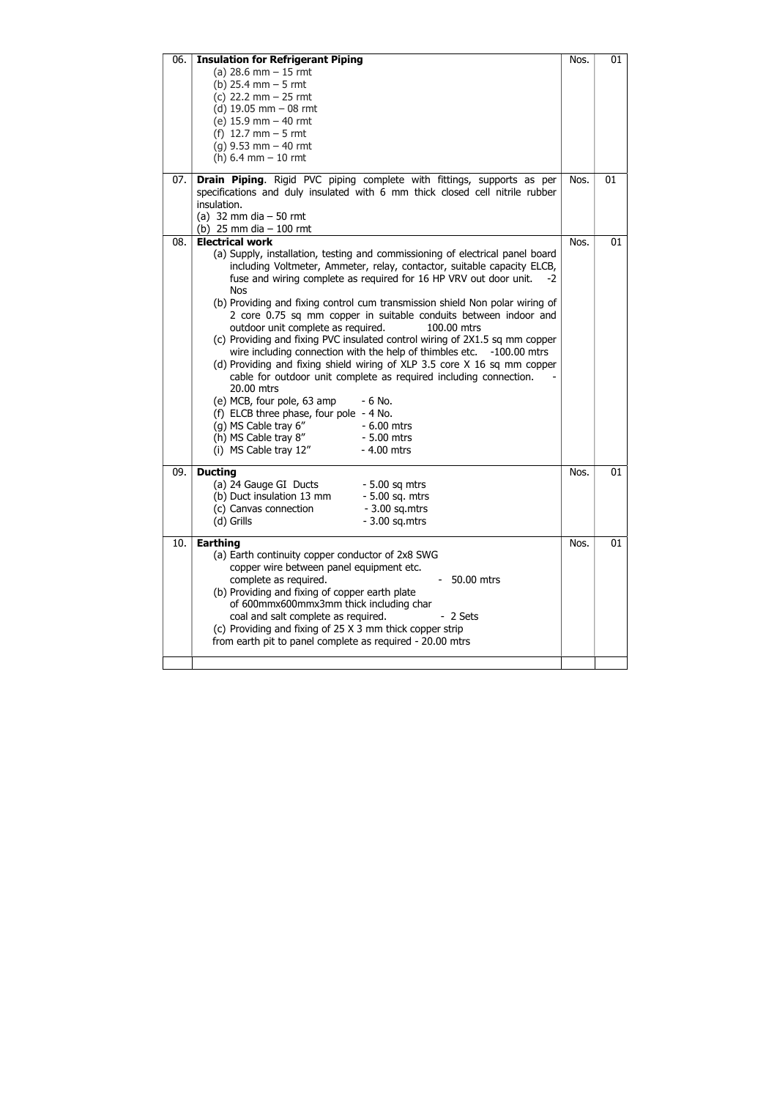| 06. | <b>Insulation for Refrigerant Piping</b>                                                                                                                                                                                                                                                                                                                                                                                                                                                                                                                                                                                                                                                                                                                                                                                                                                    | Nos. | 01 |
|-----|-----------------------------------------------------------------------------------------------------------------------------------------------------------------------------------------------------------------------------------------------------------------------------------------------------------------------------------------------------------------------------------------------------------------------------------------------------------------------------------------------------------------------------------------------------------------------------------------------------------------------------------------------------------------------------------------------------------------------------------------------------------------------------------------------------------------------------------------------------------------------------|------|----|
|     | (a) $28.6$ mm $-15$ rmt                                                                                                                                                                                                                                                                                                                                                                                                                                                                                                                                                                                                                                                                                                                                                                                                                                                     |      |    |
|     | (b) $25.4 \, \text{mm} - 5 \, \text{rmt}$                                                                                                                                                                                                                                                                                                                                                                                                                                                                                                                                                                                                                                                                                                                                                                                                                                   |      |    |
|     | (c) 22.2 $mm - 25$ rmt                                                                                                                                                                                                                                                                                                                                                                                                                                                                                                                                                                                                                                                                                                                                                                                                                                                      |      |    |
|     | (d) $19.05$ mm $-08$ rmt                                                                                                                                                                                                                                                                                                                                                                                                                                                                                                                                                                                                                                                                                                                                                                                                                                                    |      |    |
|     | (e) $15.9$ mm $-$ 40 rmt                                                                                                                                                                                                                                                                                                                                                                                                                                                                                                                                                                                                                                                                                                                                                                                                                                                    |      |    |
|     | (f) $12.7 \text{ mm} - 5 \text{ rmt}$                                                                                                                                                                                                                                                                                                                                                                                                                                                                                                                                                                                                                                                                                                                                                                                                                                       |      |    |
|     | $(g)$ 9.53 mm $-$ 40 rmt                                                                                                                                                                                                                                                                                                                                                                                                                                                                                                                                                                                                                                                                                                                                                                                                                                                    |      |    |
|     | (h) $6.4$ mm $-10$ rmt                                                                                                                                                                                                                                                                                                                                                                                                                                                                                                                                                                                                                                                                                                                                                                                                                                                      |      |    |
|     |                                                                                                                                                                                                                                                                                                                                                                                                                                                                                                                                                                                                                                                                                                                                                                                                                                                                             |      |    |
| 07. | Drain Piping. Rigid PVC piping complete with fittings, supports as per<br>specifications and duly insulated with 6 mm thick closed cell nitrile rubber<br>insulation.<br>(a) 32 mm dia $-50$ rmt                                                                                                                                                                                                                                                                                                                                                                                                                                                                                                                                                                                                                                                                            | Nos. | 01 |
|     | (b) 25 mm dia $-100$ rmt                                                                                                                                                                                                                                                                                                                                                                                                                                                                                                                                                                                                                                                                                                                                                                                                                                                    |      |    |
| 08. | <b>Electrical work</b>                                                                                                                                                                                                                                                                                                                                                                                                                                                                                                                                                                                                                                                                                                                                                                                                                                                      | Nos. | 01 |
|     | (a) Supply, installation, testing and commissioning of electrical panel board<br>including Voltmeter, Ammeter, relay, contactor, suitable capacity ELCB,<br>fuse and wiring complete as required for 16 HP VRV out door unit.<br>-2<br><b>Nos</b><br>(b) Providing and fixing control cum transmission shield Non polar wiring of<br>2 core 0.75 sq mm copper in suitable conduits between indoor and<br>outdoor unit complete as required.<br>100.00 mtrs<br>(c) Providing and fixing PVC insulated control wiring of 2X1.5 sq mm copper<br>wire including connection with the help of thimbles etc.<br>$-100.00$ mtrs<br>(d) Providing and fixing shield wiring of XLP 3.5 core X 16 sq mm copper<br>cable for outdoor unit complete as required including connection.<br>20.00 mtrs<br>(e) MCB, four pole, 63 amp<br>$-6$ No.<br>(f) ELCB three phase, four pole - 4 No. |      |    |
|     | (g) MS Cable tray 6"<br>$-6.00$ mtrs                                                                                                                                                                                                                                                                                                                                                                                                                                                                                                                                                                                                                                                                                                                                                                                                                                        |      |    |
|     | (h) MS Cable tray 8"<br>$-5.00$ mtrs                                                                                                                                                                                                                                                                                                                                                                                                                                                                                                                                                                                                                                                                                                                                                                                                                                        |      |    |
|     | (i) MS Cable tray 12"<br>- 4.00 mtrs                                                                                                                                                                                                                                                                                                                                                                                                                                                                                                                                                                                                                                                                                                                                                                                                                                        |      |    |
|     |                                                                                                                                                                                                                                                                                                                                                                                                                                                                                                                                                                                                                                                                                                                                                                                                                                                                             |      |    |
| 09. | <b>Ducting</b><br>(a) 24 Gauge GI Ducts<br>$-5.00$ sq mtrs                                                                                                                                                                                                                                                                                                                                                                                                                                                                                                                                                                                                                                                                                                                                                                                                                  | Nos. | 01 |
|     | (b) Duct insulation 13 mm<br>- 5.00 sq. mtrs                                                                                                                                                                                                                                                                                                                                                                                                                                                                                                                                                                                                                                                                                                                                                                                                                                |      |    |
|     | $-3.00$ sq.mtrs<br>(c) Canvas connection                                                                                                                                                                                                                                                                                                                                                                                                                                                                                                                                                                                                                                                                                                                                                                                                                                    |      |    |
|     | (d) Grills<br>$-3.00$ sq.mtrs                                                                                                                                                                                                                                                                                                                                                                                                                                                                                                                                                                                                                                                                                                                                                                                                                                               |      |    |
|     |                                                                                                                                                                                                                                                                                                                                                                                                                                                                                                                                                                                                                                                                                                                                                                                                                                                                             |      |    |
| 10. | <b>Earthing</b>                                                                                                                                                                                                                                                                                                                                                                                                                                                                                                                                                                                                                                                                                                                                                                                                                                                             | Nos. | 01 |
|     | (a) Earth continuity copper conductor of 2x8 SWG<br>copper wire between panel equipment etc.<br>complete as required.<br>50.00 mtrs<br>(b) Providing and fixing of copper earth plate<br>of 600mmx600mmx3mm thick including char<br>coal and salt complete as required.<br>- 2 Sets<br>(c) Providing and fixing of 25 X 3 mm thick copper strip<br>from earth pit to panel complete as required - 20.00 mtrs                                                                                                                                                                                                                                                                                                                                                                                                                                                                |      |    |
|     |                                                                                                                                                                                                                                                                                                                                                                                                                                                                                                                                                                                                                                                                                                                                                                                                                                                                             |      |    |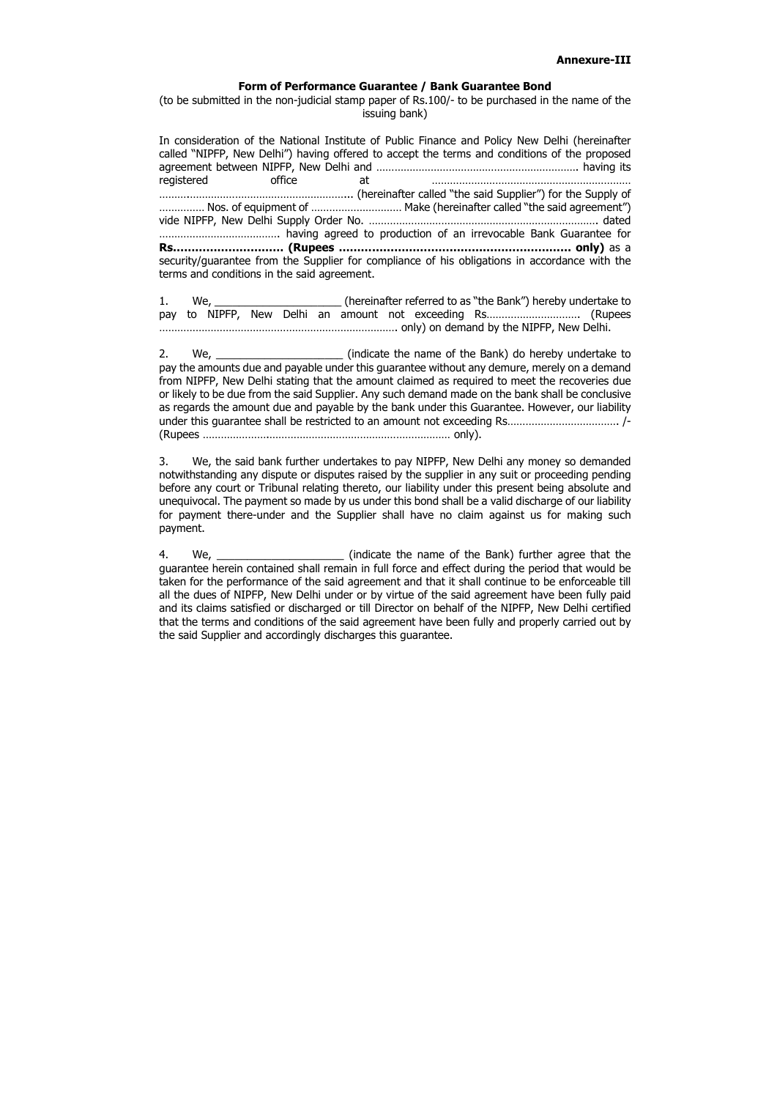#### Form of Performance Guarantee / Bank Guarantee Bond

(to be submitted in the non-judicial stamp paper of Rs.100/- to be purchased in the name of the issuing bank)

In consideration of the National Institute of Public Finance and Policy New Delhi (hereinafter called "NIPFP, New Delhi") having offered to accept the terms and conditions of the proposed agreement between NIPFP, New Delhi and …………………………………………………………. having its registered office at ………………………………………………………… ……….……………………………………………... (hereinafter called "the said Supplier") for the Supply of …………… Nos. of equipment of ………………………… Make (hereinafter called "the said agreement") vide NIPFP, New Delhi Supply Order No. …………………………………………………………………. dated …………………………………. having agreed to production of an irrevocable Bank Guarantee for Rs………………………… (Rupees ……………………………………………………… only) as a security/guarantee from the Supplier for compliance of his obligations in accordance with the terms and conditions in the said agreement.

1. We, we we we we we were the referred to as "the Bank") hereby undertake to pay to NIPFP, New Delhi an amount not exceeding Rs…………………………. (Rupees ……………………………………………………………………. only) on demand by the NIPFP, New Delhi.

4. We, \_\_\_\_\_\_\_\_\_\_\_\_\_\_\_\_\_\_\_\_\_\_\_\_ (indicate the name of the Bank) further agree that the guarantee herein contained shall remain in full force and effect during the period that would be taken for the performance of the said agreement and that it shall continue to be enforceable till all the dues of NIPFP, New Delhi under or by virtue of the said agreement have been fully paid and its claims satisfied or discharged or till Director on behalf of the NIPFP, New Delhi certified that the terms and conditions of the said agreement have been fully and properly carried out by the said Supplier and accordingly discharges this guarantee.

2. We, \_\_\_\_\_\_\_\_\_\_\_\_\_\_\_\_\_\_\_\_\_ (indicate the name of the Bank) do hereby undertake to pay the amounts due and payable under this guarantee without any demure, merely on a demand from NIPFP, New Delhi stating that the amount claimed as required to meet the recoveries due or likely to be due from the said Supplier. Any such demand made on the bank shall be conclusive as regards the amount due and payable by the bank under this Guarantee. However, our liability under this guarantee shall be restricted to an amount not exceeding Rs………………………………. /- (Rupees ………………….…………………………………………………… only).

3. We, the said bank further undertakes to pay NIPFP, New Delhi any money so demanded notwithstanding any dispute or disputes raised by the supplier in any suit or proceeding pending before any court or Tribunal relating thereto, our liability under this present being absolute and unequivocal. The payment so made by us under this bond shall be a valid discharge of our liability for payment there-under and the Supplier shall have no claim against us for making such payment.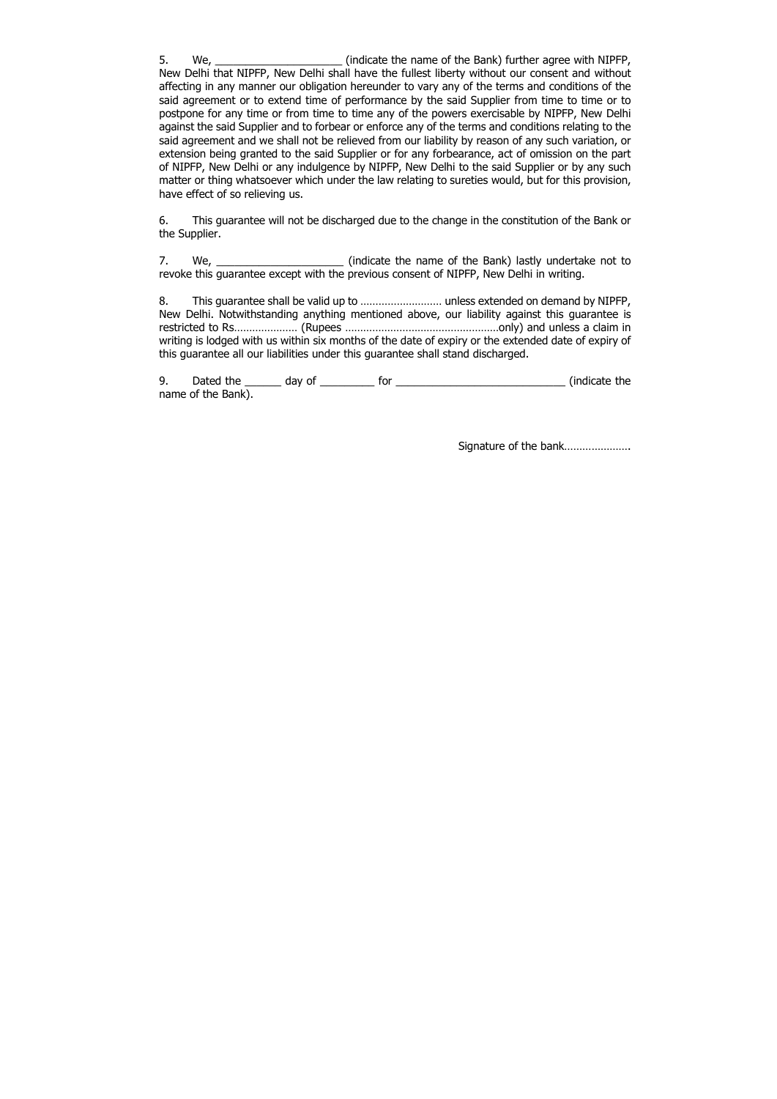5. We, we, the state of the name of the Bank) further agree with NIPFP, New Delhi that NIPFP, New Delhi shall have the fullest liberty without our consent and without affecting in any manner our obligation hereunder to vary any of the terms and conditions of the said agreement or to extend time of performance by the said Supplier from time to time or to postpone for any time or from time to time any of the powers exercisable by NIPFP, New Delhi against the said Supplier and to forbear or enforce any of the terms and conditions relating to the said agreement and we shall not be relieved from our liability by reason of any such variation, or extension being granted to the said Supplier or for any forbearance, act of omission on the part of NIPFP, New Delhi or any indulgence by NIPFP, New Delhi to the said Supplier or by any such matter or thing whatsoever which under the law relating to sureties would, but for this provision, have effect of so relieving us.

7. We, \_\_\_\_\_\_\_\_\_\_\_\_\_\_\_\_\_\_\_\_\_\_\_\_\_\_ (indicate the name of the Bank) lastly undertake not to revoke this guarantee except with the previous consent of NIPFP, New Delhi in writing.

6. This guarantee will not be discharged due to the change in the constitution of the Bank or the Supplier.

8. This guarantee shall be valid up to ……………………… unless extended on demand by NIPFP, New Delhi. Notwithstanding anything mentioned above, our liability against this guarantee is restricted to Rs………………… (Rupees ……………………………………………only) and unless a claim in writing is lodged with us within six months of the date of expiry or the extended date of expiry of this guarantee all our liabilities under this guarantee shall stand discharged.

9. Dated the \_\_\_\_\_\_ day of \_\_\_\_\_\_\_\_\_ for \_\_\_\_\_\_\_\_\_\_\_\_\_\_\_\_\_\_\_\_\_\_\_\_\_\_\_\_ (indicate the name of the Bank).

Signature of the bank......................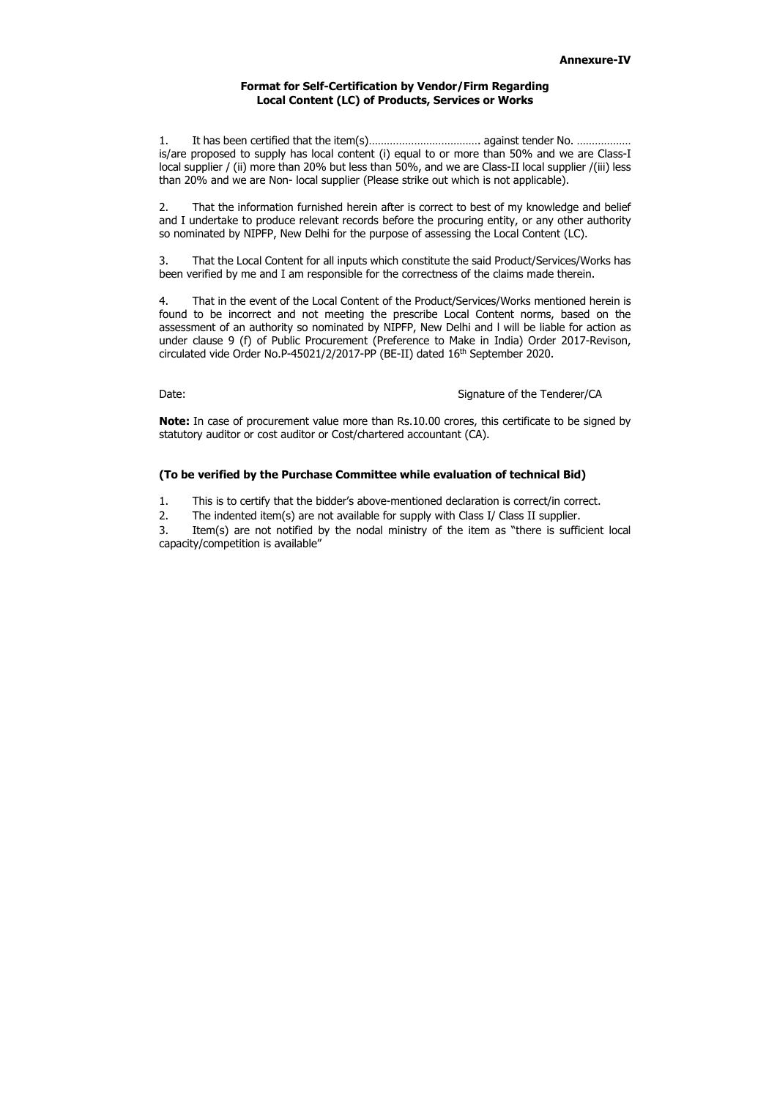## Format for Self-Certification by Vendor/Firm Regarding Local Content (LC) of Products, Services or Works

1. It has been certified that the item(s)………………………………. against tender No. ……………… is/are proposed to supply has local content (i) equal to or more than 50% and we are Class-I local supplier / (ii) more than 20% but less than 50%, and we are Class-II local supplier / (iii) less than 20% and we are Non- local supplier (Please strike out which is not applicable).

4. That in the event of the Local Content of the Product/Services/Works mentioned herein is found to be incorrect and not meeting the prescribe Local Content norms, based on the assessment of an authority so nominated by NIPFP, New Delhi and l will be liable for action as under clause 9 (f) of Public Procurement (Preference to Make in India) Order 2017-Revison, circulated vide Order No.P-45021/2/2017-PP (BE-II) dated 16<sup>th</sup> September 2020.

### Date: Signature of the Tenderer/CA

2. That the information furnished herein after is correct to best of my knowledge and belief and I undertake to produce relevant records before the procuring entity, or any other authority so nominated by NIPFP, New Delhi for the purpose of assessing the Local Content (LC).

Note: In case of procurement value more than Rs.10.00 crores, this certificate to be signed by statutory auditor or cost auditor or Cost/chartered accountant (CA).

3. That the Local Content for all inputs which constitute the said Product/Services/Works has been verified by me and I am responsible for the correctness of the claims made therein.

### (To be verified by the Purchase Committee while evaluation of technical Bid)

1. This is to certify that the bidder's above-mentioned declaration is correct/in correct.

2. The indented item(s) are not available for supply with Class I/ Class II supplier.

3. Item(s) are not notified by the nodal ministry of the item as "there is sufficient local capacity/competition is available"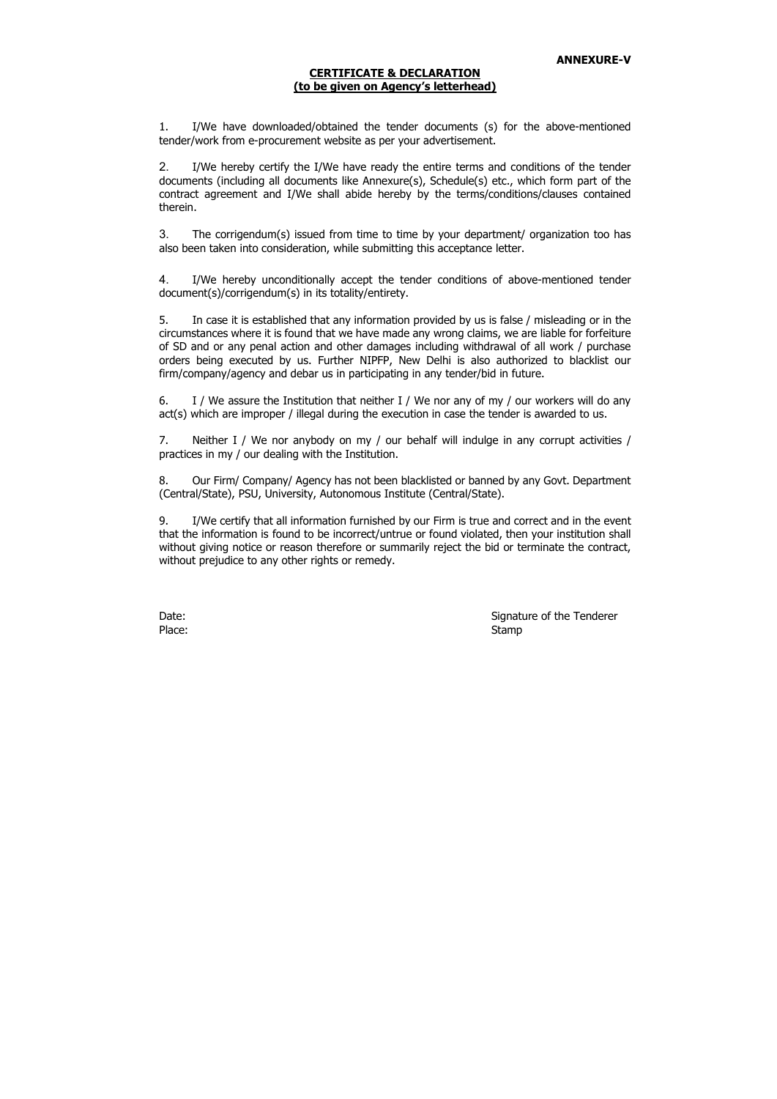#### CERTIFICATE & DECLARATION (to be given on Agency's letterhead)

1. I/We have downloaded/obtained the tender documents (s) for the above-mentioned tender/work from e-procurement website as per your advertisement.

2. I/We hereby certify the I/We have ready the entire terms and conditions of the tender documents (including all documents like Annexure(s), Schedule(s) etc., which form part of the contract agreement and I/We shall abide hereby by the terms/conditions/clauses contained therein.

3. The corrigendum(s) issued from time to time by your department/ organization too has also been taken into consideration, while submitting this acceptance letter.

4. I/We hereby unconditionally accept the tender conditions of above-mentioned tender document(s)/corrigendum(s) in its totality/entirety.

5. In case it is established that any information provided by us is false / misleading or in the circumstances where it is found that we have made any wrong claims, we are liable for forfeiture of SD and or any penal action and other damages including withdrawal of all work / purchase orders being executed by us. Further NIPFP, New Delhi is also authorized to blacklist our firm/company/agency and debar us in participating in any tender/bid in future.

6. I / We assure the Institution that neither I / We nor any of my / our workers will do any act(s) which are improper / illegal during the execution in case the tender is awarded to us.

7. Neither I / We nor anybody on my / our behalf will indulge in any corrupt activities / practices in my / our dealing with the Institution.

8. Our Firm/ Company/ Agency has not been blacklisted or banned by any Govt. Department (Central/State), PSU, University, Autonomous Institute (Central/State).

9. I/We certify that all information furnished by our Firm is true and correct and in the event that the information is found to be incorrect/untrue or found violated, then your institution shall without giving notice or reason therefore or summarily reject the bid or terminate the contract, without prejudice to any other rights or remedy.

Date: Signature of the Tenderer Place: Stamp Stamp Stamp Stamp Stamp Stamp Stamp Stamp Stamp Stamp Stamp Stamp Stamp Stamp Stamp Stamp Stamp Stamp Stamp Stamp Stamp Stamp Stamp Stamp Stamp Stamp Stamp Stamp Stamp Stamp Stamp Stamp Stamp Stamp Stamp Stamp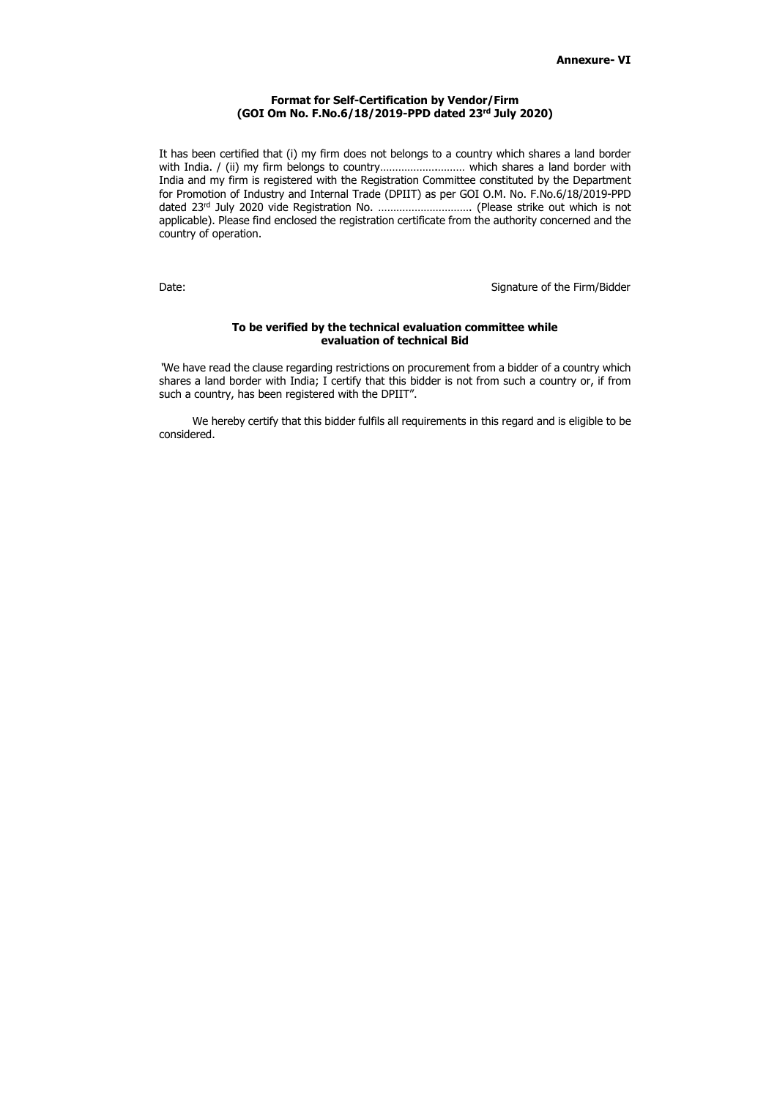#### Format for Self-Certification by Vendor/Firm (GOI Om No. F.No.6/18/2019-PPD dated 23rd July 2020)

It has been certified that (i) my firm does not belongs to a country which shares a land border with India. / (ii) my firm belongs to country……………….……… which shares a land border with India and my firm is registered with the Registration Committee constituted by the Department for Promotion of Industry and Internal Trade (DPIIT) as per GOI O.M. No. F.No.6/18/2019-PPD dated 23rd July 2020 vide Registration No. …………………………. (Please strike out which is not applicable). Please find enclosed the registration certificate from the authority concerned and the country of operation.

Date: Signature of the Firm/Bidder

#### To be verified by the technical evaluation committee while evaluation of technical Bid

"We have read the clause regarding restrictions on procurement from a bidder of a country which shares a land border with India; I certify that this bidder is not from such a country or, if from such a country, has been registered with the DPIIT".

We hereby certify that this bidder fulfils all requirements in this regard and is eligible to be considered.